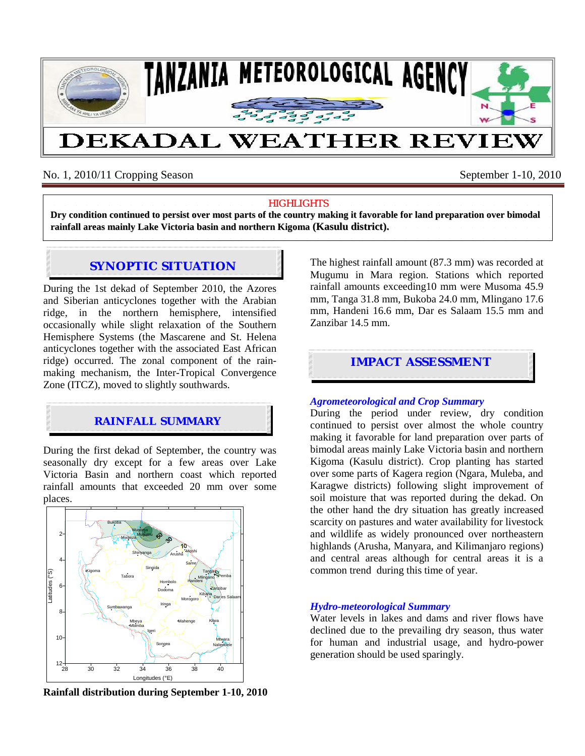

# No. 1, 2010/11 Cropping Season September 1-10, 2010

### **HIGHLIGHTS**

Dry condition continued to persist over most parts of the country making it favorable for land preparation over bimodal **rainfall areas mainly Lake Victoria basin and northern Kigoma (Kasulu district).**

# **SYNOPTIC SITUATION**

During the 1st dekad of September 2010, the Azores and Siberian anticyclones together with the Arabian ridge, in the northern hemisphere, intensified occasionally while slight relaxation of the Southern Hemisphere Systems (the Mascarene and St. Helena anticyclones together with the associated East African ridge) occurred. The zonal component of the rainmaking mechanism, the Inter-Tropical Convergence Zone (ITCZ), moved to slightly southwards.

## **RAINFALL SUMMARY**

During the first dekad of September, the country was seasonally dry except for a few areas over Lake Victoria Basin and northern coast which reported rainfall amounts that exceeded 20 mm over some places.



**Rainfall distribution during September 1-10, 2010** 

The highest rainfall amount (87.3 mm) was recorded at Mugumu in Mara region. Stations which reported rainfall amounts exceeding10 mm were Musoma 45.9 mm, Tanga 31.8 mm, Bukoba 24.0 mm, Mlingano 17.6 mm, Handeni 16.6 mm, Dar es Salaam 15.5 mm and Zanzibar 14.5 mm.

# **IMPACT ASSESSMENT**

#### *Agrometeorological and Crop Summary*

During the period under review, dry condition continued to persist over almost the whole country making it favorable for land preparation over parts of bimodal areas mainly Lake Victoria basin and northern Kigoma (Kasulu district). Crop planting has started over some parts of Kagera region (Ngara, Muleba, and Karagwe districts) following slight improvement of soil moisture that was reported during the dekad. On the other hand the dry situation has greatly increased scarcity on pastures and water availability for livestock and wildlife as widely pronounced over northeastern highlands (Arusha, Manyara, and Kilimanjaro regions) and central areas although for central areas it is a common trend during this time of year.

### *Hydro-meteorological Summary*

Water levels in lakes and dams and river flows have declined due to the prevailing dry season, thus water for human and industrial usage, and hydro-power generation should be used sparingly.